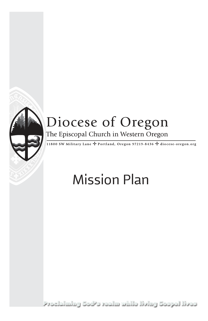

# Diocese of Oregon

The Episcopal Church in Western Oregon

The SW Military Lane → Portland, Oregon 97219-8436 → diocese-oregon.org

### Mission Plan

Proclaiming God's realm while living Gospel lives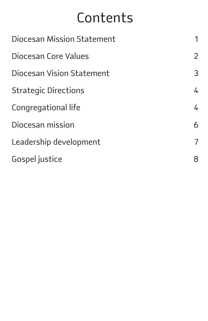### Contents

| Diocesan Mission Statement  |                |
|-----------------------------|----------------|
| Diocesan Core Values        | $\overline{2}$ |
| Diocesan Vision Statement   | 3              |
| <b>Strategic Directions</b> | 4              |
| Congregational life         | 4              |
| Diocesan mission            | 6              |
| Leadership development      | 7              |
| Gospel justice              | 8              |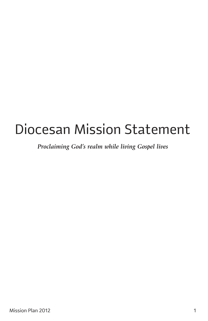## Diocesan Mission Statement

*Proclaiming God's realm while living Gospel lives*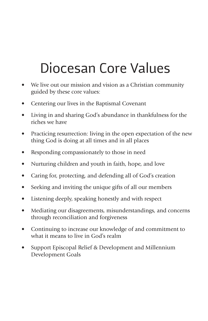## Diocesan Core Values

- We live out our mission and vision as a Christian community guided by these core values:
- Centering our lives in the Baptismal Covenant
- Living in and sharing God's abundance in thankfulness for the riches we have
- Practicing resurrection: living in the open expectation of the new thing God is doing at all times and in all places
- Responding compassionately to those in need
- Nurturing children and youth in faith, hope, and love
- Caring for, protecting, and defending all of God's creation
- Seeking and inviting the unique gifts of all our members
- Listening deeply, speaking honestly and with respect
- Mediating our disagreements, misunderstandings, and concerns through reconciliation and forgiveness
- Continuing to increase our knowledge of and commitment to what it means to live in God's realm
- Support Episcopal Relief & Development and Millennium Development Goals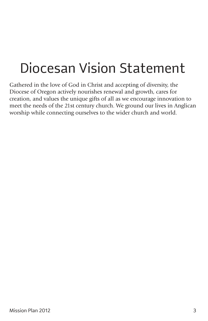## Diocesan Vision Statement

Gathered in the love of God in Christ and accepting of diversity, the Diocese of Oregon actively nourishes renewal and growth, cares for creation, and values the unique gifts of all as we encourage innovation to meet the needs of the 21st century church. We ground our lives in Anglican worship while connecting ourselves to the wider church and world.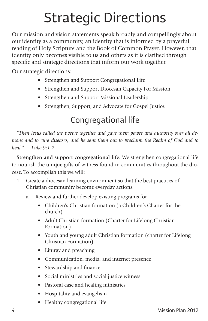## Strategic Directions

Our mission and vision statements speak broadly and compellingly about our identity as a community, an identity that is informed by a prayerful reading of Holy Scripture and the Book of Common Prayer. However, that identity only becomes visible to us and others as it is clarified through specific and strategic directions that inform our work together.

Our strategic directions:

- Strengthen and Support Congregational Life
- Strengthen and Support Diocesan Capacity For Mission
- Strengthen and Support Missional Leadership
- Strengthen, Support, and Advocate for Gospel Justice

### Congregational life

*"Then Jesus called the twelve together and gave them power and authority over all demons and to cure diseases, and he sent them out to proclaim the Realm of God and to heal." –Luke 9:1-2*

**Strengthen and support congregational life:** We strengthen congregational life to nourish the unique gifts of witness found in communities throughout the diocese. To accomplish this we will:

- 1. Create a diocesan learning environment so that the best practices of Christian community become everyday actions.
	- a. Review and further develop existing programs for
		- Children's Christian formation (a Children's Charter for the church)
		- Adult Christian formation (Charter for Lifelong Christian Formation)
		- Youth and young adult Christian formation (charter for Lifelong Christian Formation)
		- Liturgy and preaching
		- Communication, media, and internet presence
		- Stewardship and finance
		- Social ministries and social justice witness
		- Pastoral case and healing ministries
		- Hospitality and evangelism
		- Healthy congregational life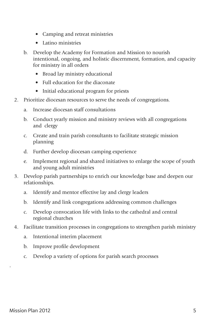- Camping and retreat ministries
- Latino ministries
- b. Develop the Academy for Formation and Mission to nourish intentional, ongoing, and holistic discernment, formation, and capacity for ministry in all orders
	- Broad lay ministry educational
	- Full education for the diaconate
	- Initial educational program for priests
- 2. Prioritize diocesan resources to serve the needs of congregations.
	- a. Increase diocesan staff consultations
	- b. Conduct yearly mission and ministry reviews with all congregations and clergy
	- c. Create and train parish consultants to facilitate strategic mission planning
	- d. Further develop diocesan camping experience
	- e. Implement regional and shared initiatives to enlarge the scope of youth and young adult ministries
- 3. Develop parish partnerships to enrich our knowledge base and deepen our relationships.
	- a. Identify and mentor effective lay and clergy leaders
	- b. Identify and link congregations addressing common challenges
	- c. Develop convocation life with links to the cathedral and central regional churches
- 4. Facilitate transition processes in congregations to strengthen parish ministry
	- a. Intentional interim placement
	- b. Improve profile development
	- c. Develop a variety of options for parish search processes

.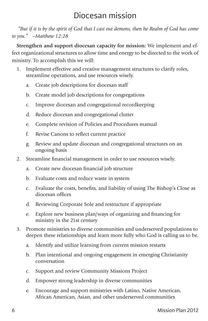#### Diocesan mission

 *"But if it is by the spirit of God that I cast out demons, then he Realm of God has come to you." –Matthew 12:28*

**Strengthen and support diocesan capacity for mission:** We implement and effect organizational structures to allow time and energy to be directed to the work of ministry. To accomplish this we will:

- 1. Implement effective and creative management structures to clarify roles, streamline operations, and use resources wisely.
	- a. Create job descriptions for diocesan staff
	- b. Create model job descriptions for congregations
	- c. Improve diocesan and congregational recordkeeping
	- d. Reduce diocesan and congregational clutter
	- e. Complete revision of Policies and Procedures manual
	- f. Revise Canons to reflect current practice
	- g. Review and update diocesan and congregational structures on an ongoing basis
- 2. Streamline financial management in order to use resources wisely.
	- a. Create new diocesan financial job structure
	- b. Evaluate costs and reduce waste in system
	- c. Evaluate the costs, benefits, and liability of using The Bishop's Close as diocesan offices
	- d. Reviewing Corporate Sole and restructure if appropriate
	- e. Explore new business plan/ways of organizing and financing for ministry in the 21st century
- 3. Promote ministries to diverse communities and underserved populations to deepen these relationships and learn more fully who God is calling us to be.
	- a. Identify and utilize learning from current mission restarts
	- b. Plan intentional and ongoing engagement in emerging Christianity conversation
	- c. Support and review Community Missions Project
	- d. Empower strong leadership in diverse communities
	- e. Encourage and support ministries with Latino, Native American, African American, Asian, and other underserved communities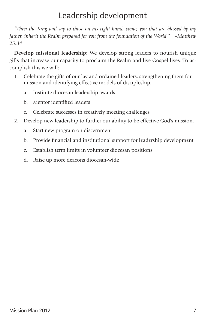#### Leadership development

*"Then the King will say to those on his right hand, come, you that are blessed by my father, inherit the Realm prepared for you from the foundation of the World." –Matthew 25:34*

**Develop missional leadership:** We develop strong leaders to nourish unique gifts that increase our capacity to proclaim the Realm and live Gospel lives. To accomplish this we will:

- 1. Celebrate the gifts of our lay and ordained leaders, strengthening them for mission and identifying effective models of discipleship.
	- a. Institute diocesan leadership awards
	- b. Mentor identified leaders
	- c. Celebrate successes in creatively meeting challenges
- 2. Develop new leadership to further our ability to be effective God's mission.
	- a. Start new program on discernment
	- b. Provide financial and institutional support for leadership development
	- c. Establish term limits in volunteer diocesan positions
	- d. Raise up more deacons diocesan-wide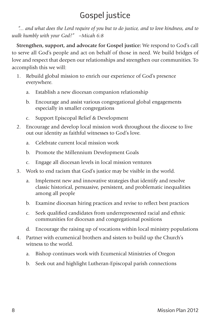### Gospel justice

 *"... and what does the Lord require of you but to do justice, and to love kindness, and to walk humbly with your God?" –Micah 6:8*

**Strengthen, support, and advocate for Gospel justice:** We respond to God's call to serve all God's people and act on behalf of those in need. We build bridges of love and respect that deepen our relationships and strengthen our communities. To accomplish this we will:

- 1. Rebuild global mission to enrich our experience of God's presence everywhere.
	- a. Establish a new diocesan companion relationship
	- b. Encourage and assist various congregational global engagements especially in smaller congregations
	- c. Support Episcopal Relief & Development
- 2. Encourage and develop local mission work throughout the diocese to live out our identity as faithful witnesses to God's love.
	- a. Celebrate current local mission work
	- b. Promote the Millennium Development Goals
	- c. Engage all diocesan levels in local mission ventures
- 3. Work to end racism that God's justice may be visible in the world.
	- a. Implement new and innovative strategies that identify and resolve classic historical, persuasive, persistent, and problematic inequalities among all people
	- b. Examine diocesan hiring practices and revise to reflect best practices
	- c. Seek qualified candidates from underrepresented racial and ethnic communities for diocesan and congregational positions
	- d. Encourage the raising up of vocations within local ministry populations
- 4. Partner with ecumenical brothers and sisters to build up the Church's witness to the world.
	- a. Bishop continues work with Ecumenical Ministries of Oregon
	- b. Seek out and highlight Lutheran-Episcopal parish connections